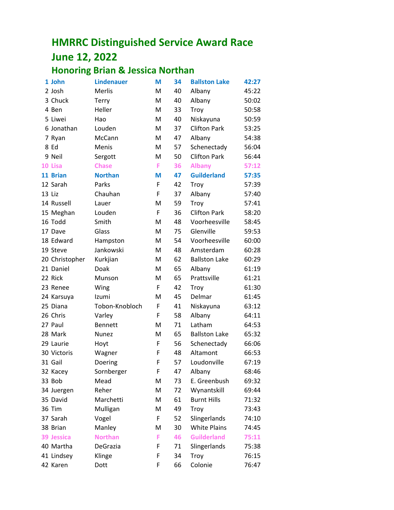## **HMRRC Distinguished Service Award Race June 12, 2022**

## **Honoring Brian & Jessica Northan**

| 1 John         | <b>Lindenauer</b> | M | 34 | <b>Ballston Lake</b> | 42:27 |
|----------------|-------------------|---|----|----------------------|-------|
| 2 Josh         | Merlis            | M | 40 | Albany               | 45:22 |
| 3 Chuck        | Terry             | M | 40 | Albany               | 50:02 |
| 4 Ben          | Heller            | M | 33 | Troy                 | 50:58 |
| 5 Liwei        | Hao               | M | 40 | Niskayuna            | 50:59 |
| 6 Jonathan     | Louden            | M | 37 | <b>Clifton Park</b>  | 53:25 |
| 7 Ryan         | McCann            | M | 47 | Albany               | 54:38 |
| 8 Ed           | Menis             | M | 57 | Schenectady          | 56:04 |
| 9 Neil         | Sergott           | M | 50 | <b>Clifton Park</b>  | 56:44 |
| 10 Lisa        | <b>Chase</b>      | F | 36 | <b>Albany</b>        | 57:12 |
| 11 Brian       | <b>Northan</b>    | M | 47 | <b>Guilderland</b>   | 57:35 |
| 12 Sarah       | Parks             | F | 42 | <b>Troy</b>          | 57:39 |
| 13 Liz         | Chauhan           | F | 37 | Albany               | 57:40 |
| 14 Russell     | Lauer             | M | 59 | Troy                 | 57:41 |
| 15 Meghan      | Louden            | F | 36 | <b>Clifton Park</b>  | 58:20 |
| 16 Todd        | Smith             | M | 48 | Voorheesville        | 58:45 |
| 17 Dave        | Glass             | M | 75 | Glenville            | 59:53 |
| 18 Edward      | Hampston          | M | 54 | Voorheesville        | 60:00 |
| 19 Steve       | Jankowski         | M | 48 | Amsterdam            | 60:28 |
| 20 Christopher | Kurkjian          | M | 62 | <b>Ballston Lake</b> | 60:29 |
| 21 Daniel      | Doak              | M | 65 | Albany               | 61:19 |
| 22 Rick        | Munson            | M | 65 | Prattsville          | 61:21 |
| 23 Renee       | Wing              | F | 42 | Troy                 | 61:30 |
| 24 Karsuya     | Izumi             | M | 45 | Delmar               | 61:45 |
| 25 Diana       | Tobon-Knobloch    | F | 41 | Niskayuna            | 63:12 |
| 26 Chris       | Varley            | F | 58 | Albany               | 64:11 |
| 27 Paul        | <b>Bennett</b>    | M | 71 | Latham               | 64:53 |
| 28 Mark        | <b>Nunez</b>      | M | 65 | <b>Ballston Lake</b> | 65:32 |
| 29 Laurie      | Hoyt              | F | 56 | Schenectady          | 66:06 |
| 30 Victoris    | Wagner            | F | 48 | Altamont             | 66:53 |
| 31 Gail        | Doering           | F | 57 | Loudonville          | 67:19 |
| 32 Kacey       | Sornberger        | F | 47 | Albany               | 68:46 |
| 33 Bob         | Mead              | M | 73 | E. Greenbush         | 69:32 |
| 34 Juergen     | Reher             | M | 72 | Wynantskill          | 69:44 |
| 35 David       | Marchetti         | M | 61 | <b>Burnt Hills</b>   | 71:32 |
| 36 Tim         | Mulligan          | M | 49 | Troy                 | 73:43 |
| 37 Sarah       | Vogel             | F | 52 | Slingerlands         | 74:10 |
| 38 Brian       | Manley            | M | 30 | <b>White Plains</b>  | 74:45 |
| 39 Jessica     | <b>Northan</b>    | F | 46 | <b>Guilderland</b>   | 75:11 |
| 40 Martha      | DeGrazia          | F | 71 | Slingerlands         | 75:38 |
| 41 Lindsey     | Klinge            | F | 34 | Troy                 | 76:15 |
| 42 Karen       | Dott              | F | 66 | Colonie              | 76:47 |